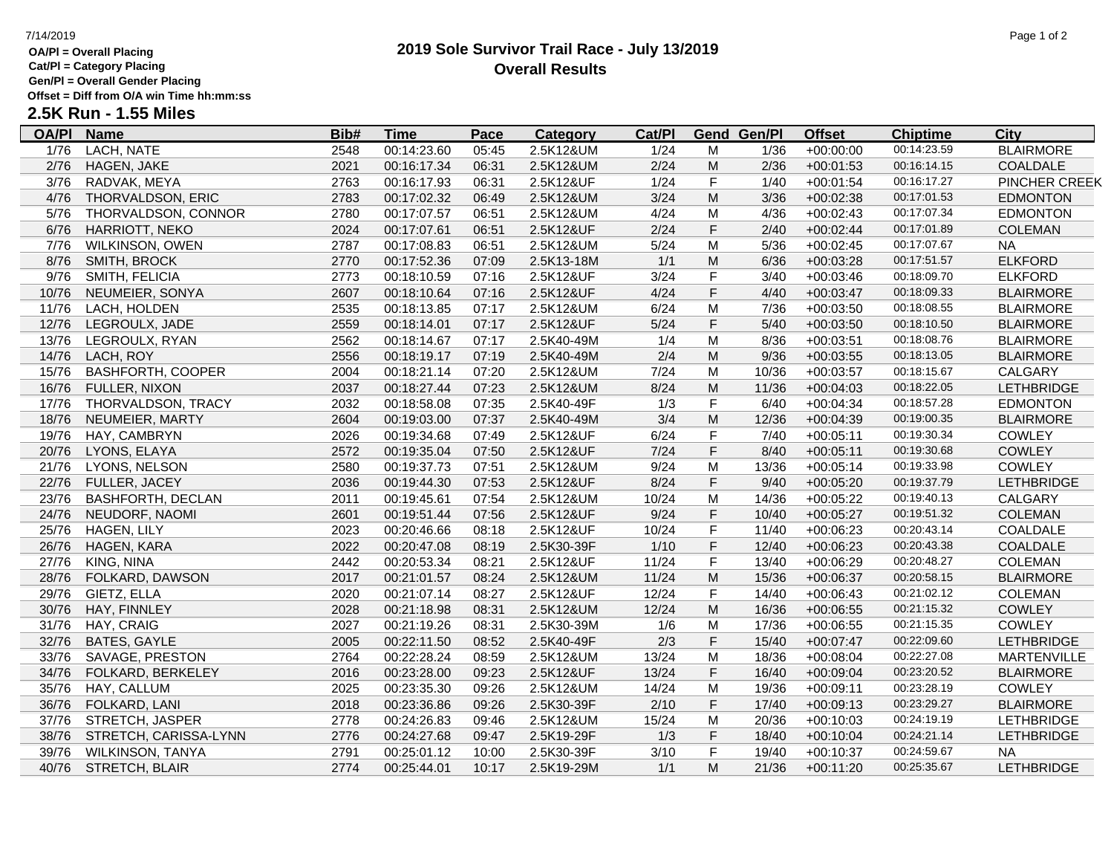## **OA/Pl = Overall Placing**

**Cat/Pl = Category Placing**

# **Gen/Pl = Overall Gender Placing**

**Offset = Diff from O/A win Time hh:mm:ss**

# **2.5K Run - 1.55 Miles**

| <b>OA/PI</b> | <b>Name</b>              | Bib# | <u>Time</u> | <b>Pace</b> | <b>Category</b> | Cat/Pl |             | <b>Gend Gen/Pl</b> | <b>Offset</b> | <b>Chiptime</b> | City               |
|--------------|--------------------------|------|-------------|-------------|-----------------|--------|-------------|--------------------|---------------|-----------------|--------------------|
| 1/76         | LACH, NATE               | 2548 | 00:14:23.60 | 05:45       | 2.5K12&UM       | 1/24   | M           | 1/36               | $+00:00:00$   | 00:14:23.59     | <b>BLAIRMORE</b>   |
| 2/76         | HAGEN, JAKE              | 2021 | 00:16:17.34 | 06:31       | 2.5K12&UM       | 2/24   | M           | 2/36               | $+00:01:53$   | 00:16:14.15     | <b>COALDALE</b>    |
| 3/76         | RADVAK, MEYA             | 2763 | 00:16:17.93 | 06:31       | 2.5K12&UF       | 1/24   | F           | 1/40               | $+00:01:54$   | 00:16:17.27     | PINCHER CREEK      |
| 4/76         | THORVALDSON, ERIC        | 2783 | 00:17:02.32 | 06:49       | 2.5K12&UM       | 3/24   | M           | 3/36               | $+00:02:38$   | 00:17:01.53     | <b>EDMONTON</b>    |
| 5/76         | THORVALDSON, CONNOR      | 2780 | 00:17:07.57 | 06:51       | 2.5K12&UM       | 4/24   | M           | 4/36               | $+00:02:43$   | 00:17:07.34     | <b>EDMONTON</b>    |
| 6/76         | HARRIOTT, NEKO           | 2024 | 00:17:07.61 | 06:51       | 2.5K12&UF       | 2/24   | F           | 2/40               | $+00:02:44$   | 00:17:01.89     | <b>COLEMAN</b>     |
| 7/76         | <b>WILKINSON, OWEN</b>   | 2787 | 00:17:08.83 | 06:51       | 2.5K12&UM       | 5/24   | M           | 5/36               | $+00:02:45$   | 00:17:07.67     | <b>NA</b>          |
| 8/76         | SMITH, BROCK             | 2770 | 00:17:52.36 | 07:09       | 2.5K13-18M      | 1/1    | M           | 6/36               | $+00:03:28$   | 00:17:51.57     | <b>ELKFORD</b>     |
| 9/76         | SMITH, FELICIA           | 2773 | 00:18:10.59 | 07:16       | 2.5K12&UF       | 3/24   | F           | 3/40               | $+00:03:46$   | 00:18:09.70     | <b>ELKFORD</b>     |
| 10/76        | NEUMEIER, SONYA          | 2607 | 00:18:10.64 | 07:16       | 2.5K12&UF       | 4/24   | F           | 4/40               | $+00:03:47$   | 00:18:09.33     | <b>BLAIRMORE</b>   |
| 11/76        | LACH, HOLDEN             | 2535 | 00:18:13.85 | 07:17       | 2.5K12&UM       | 6/24   | M           | 7/36               | $+00:03:50$   | 00:18:08.55     | <b>BLAIRMORE</b>   |
| 12/76        | LEGROULX, JADE           | 2559 | 00:18:14.01 | 07:17       | 2.5K12&UF       | $5/24$ | $\mathsf F$ | $5/40$             | $+00:03:50$   | 00:18:10.50     | <b>BLAIRMORE</b>   |
| 13/76        | LEGROULX, RYAN           | 2562 | 00:18:14.67 | 07:17       | 2.5K40-49M      | 1/4    | M           | 8/36               | $+00:03:51$   | 00:18:08.76     | <b>BLAIRMORE</b>   |
| 14/76        | LACH, ROY                | 2556 | 00:18:19.17 | 07:19       | 2.5K40-49M      | 2/4    | M           | 9/36               | $+00:03:55$   | 00:18:13.05     | <b>BLAIRMORE</b>   |
| 15/76        | <b>BASHFORTH, COOPER</b> | 2004 | 00:18:21.14 | 07:20       | 2.5K12&UM       | $7/24$ | M           | 10/36              | $+00:03:57$   | 00:18:15.67     | <b>CALGARY</b>     |
| 16/76        | FULLER, NIXON            | 2037 | 00:18:27.44 | 07:23       | 2.5K12&UM       | 8/24   | M           | 11/36              | $+00:04:03$   | 00:18:22.05     | <b>LETHBRIDGE</b>  |
| 17/76        | THORVALDSON, TRACY       | 2032 | 00:18:58.08 | 07:35       | 2.5K40-49F      | 1/3    | F           | 6/40               | $+00:04:34$   | 00:18:57.28     | <b>EDMONTON</b>    |
| 18/76        | NEUMEIER, MARTY          | 2604 | 00:19:03.00 | 07:37       | 2.5K40-49M      | 3/4    | М           | 12/36              | $+00:04:39$   | 00:19:00.35     | <b>BLAIRMORE</b>   |
| 19/76        | HAY, CAMBRYN             | 2026 | 00:19:34.68 | 07:49       | 2.5K12&UF       | 6/24   | F           | 7/40               | $+00:05:11$   | 00:19:30.34     | <b>COWLEY</b>      |
| 20/76        | LYONS, ELAYA             | 2572 | 00:19:35.04 | 07:50       | 2.5K12&UF       | 7/24   | F           | 8/40               | $+00:05:11$   | 00:19:30.68     | <b>COWLEY</b>      |
| 21/76        | LYONS, NELSON            | 2580 | 00:19:37.73 | 07:51       | 2.5K12&UM       | 9/24   | M           | 13/36              | $+00:05:14$   | 00:19:33.98     | <b>COWLEY</b>      |
| 22/76        | FULLER, JACEY            | 2036 | 00:19:44.30 | 07:53       | 2.5K12&UF       | 8/24   | F           | 9/40               | $+00:05:20$   | 00:19:37.79     | <b>LETHBRIDGE</b>  |
| 23/76        | <b>BASHFORTH, DECLAN</b> | 2011 | 00:19:45.61 | 07:54       | 2.5K12&UM       | 10/24  | M           | 14/36              | $+00:05:22$   | 00:19:40.13     | <b>CALGARY</b>     |
| 24/76        | NEUDORF, NAOMI           | 2601 | 00:19:51.44 | 07:56       | 2.5K12&UF       | 9/24   | F           | 10/40              | $+00:05:27$   | 00:19:51.32     | <b>COLEMAN</b>     |
| 25/76        | HAGEN, LILY              | 2023 | 00:20:46.66 | 08:18       | 2.5K12&UF       | 10/24  | F           | 11/40              | $+00:06:23$   | 00:20:43.14     | <b>COALDALE</b>    |
| 26/76        | HAGEN, KARA              | 2022 | 00:20:47.08 | 08:19       | 2.5K30-39F      | $1/10$ | F           | 12/40              | $+00:06:23$   | 00:20:43.38     | COALDALE           |
| 27/76        | KING, NINA               | 2442 | 00:20:53.34 | 08:21       | 2.5K12&UF       | 11/24  | F           | 13/40              | $+00:06:29$   | 00:20:48.27     | <b>COLEMAN</b>     |
| 28/76        | FOLKARD, DAWSON          | 2017 | 00:21:01.57 | 08:24       | 2.5K12&UM       | 11/24  | M           | 15/36              | $+00:06:37$   | 00:20:58.15     | <b>BLAIRMORE</b>   |
| 29/76        | GIETZ, ELLA              | 2020 | 00:21:07.14 | 08:27       | 2.5K12&UF       | 12/24  | F           | 14/40              | $+00:06:43$   | 00:21:02.12     | <b>COLEMAN</b>     |
| 30/76        | HAY, FINNLEY             | 2028 | 00:21:18.98 | 08:31       | 2.5K12&UM       | 12/24  | M           | 16/36              | $+00:06:55$   | 00:21:15.32     | <b>COWLEY</b>      |
| 31/76        | HAY, CRAIG               | 2027 | 00:21:19.26 | 08:31       | 2.5K30-39M      | 1/6    | M           | 17/36              | $+00:06:55$   | 00:21:15.35     | <b>COWLEY</b>      |
| 32/76        | <b>BATES, GAYLE</b>      | 2005 | 00:22:11.50 | 08:52       | 2.5K40-49F      | 2/3    | F           | 15/40              | $+00:07:47$   | 00:22:09.60     | <b>LETHBRIDGE</b>  |
| 33/76        | <b>SAVAGE, PRESTON</b>   | 2764 | 00:22:28.24 | 08:59       | 2.5K12&UM       | 13/24  | M           | 18/36              | $+00:08:04$   | 00:22:27.08     | <b>MARTENVILLE</b> |
| 34/76        | FOLKARD, BERKELEY        | 2016 | 00:23:28.00 | 09:23       | 2.5K12&UF       | 13/24  | $\mathsf F$ | 16/40              | $+00:09:04$   | 00:23:20.52     | <b>BLAIRMORE</b>   |
| 35/76        | HAY, CALLUM              | 2025 | 00:23:35.30 | 09:26       | 2.5K12&UM       | 14/24  | M           | 19/36              | $+00:09:11$   | 00:23:28.19     | <b>COWLEY</b>      |
| 36/76        | FOLKARD, LANI            | 2018 | 00:23:36.86 | 09:26       | 2.5K30-39F      | 2/10   | F           | 17/40              | $+00:09:13$   | 00:23:29.27     | <b>BLAIRMORE</b>   |
| 37/76        | STRETCH, JASPER          | 2778 | 00:24:26.83 | 09:46       | 2.5K12&UM       | 15/24  | M           | 20/36              | $+00:10:03$   | 00:24:19.19     | <b>LETHBRIDGE</b>  |
| 38/76        | STRETCH, CARISSA-LYNN    | 2776 | 00:24:27.68 | 09:47       | 2.5K19-29F      | 1/3    | F           | 18/40              | $+00:10:04$   | 00:24:21.14     | <b>LETHBRIDGE</b>  |
| 39/76        | <b>WILKINSON, TANYA</b>  | 2791 | 00:25:01.12 | 10:00       | 2.5K30-39F      | 3/10   | F           | 19/40              | $+00:10:37$   | 00:24:59.67     | <b>NA</b>          |
| 40/76        | STRETCH, BLAIR           | 2774 | 00:25:44.01 | 10:17       | 2.5K19-29M      | 1/1    | M           | 21/36              | $+00:11:20$   | 00:25:35.67     | <b>LETHBRIDGE</b>  |

### **2019 Sole Survivor Trail Race - July 13/2019** 7/14/2019 Page 1 of 2 **Overall Results**